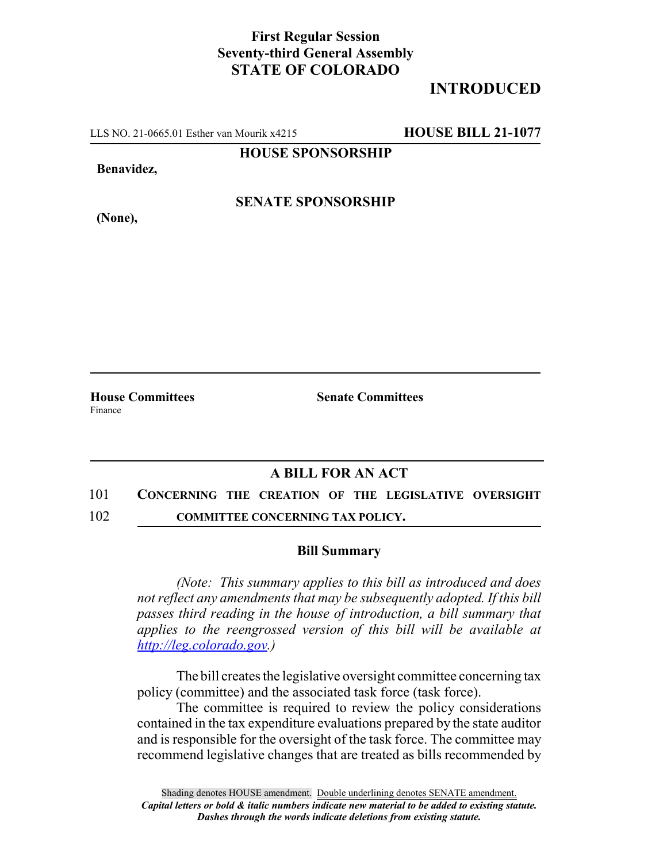## **First Regular Session Seventy-third General Assembly STATE OF COLORADO**

# **INTRODUCED**

LLS NO. 21-0665.01 Esther van Mourik x4215 **HOUSE BILL 21-1077**

**HOUSE SPONSORSHIP**

**Benavidez,**

**(None),**

**SENATE SPONSORSHIP**

Finance

**House Committees Senate Committees**

### **A BILL FOR AN ACT**

#### 101 **CONCERNING THE CREATION OF THE LEGISLATIVE OVERSIGHT**

102 **COMMITTEE CONCERNING TAX POLICY.**

### **Bill Summary**

*(Note: This summary applies to this bill as introduced and does not reflect any amendments that may be subsequently adopted. If this bill passes third reading in the house of introduction, a bill summary that applies to the reengrossed version of this bill will be available at http://leg.colorado.gov.)*

The bill creates the legislative oversight committee concerning tax policy (committee) and the associated task force (task force).

The committee is required to review the policy considerations contained in the tax expenditure evaluations prepared by the state auditor and is responsible for the oversight of the task force. The committee may recommend legislative changes that are treated as bills recommended by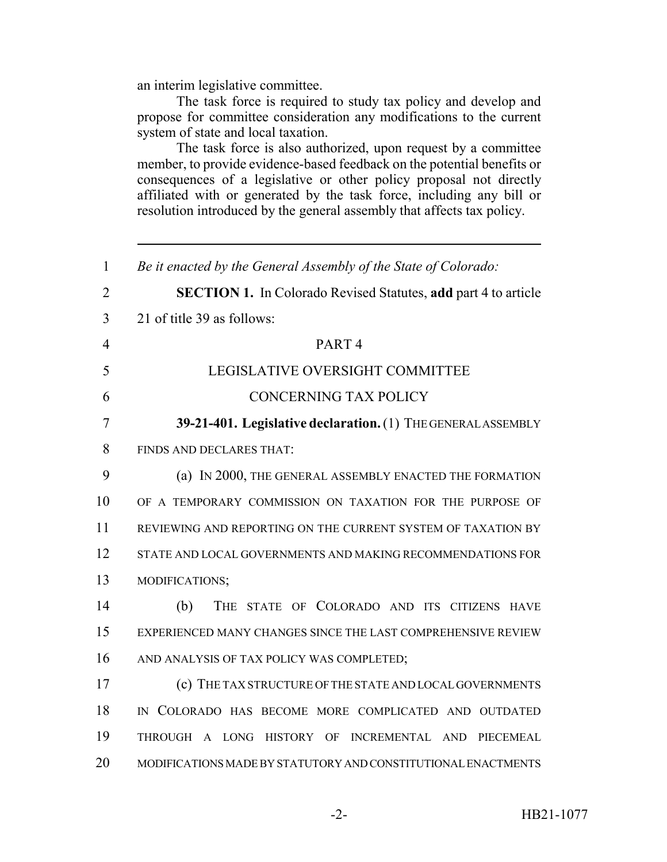an interim legislative committee.

The task force is required to study tax policy and develop and propose for committee consideration any modifications to the current system of state and local taxation.

The task force is also authorized, upon request by a committee member, to provide evidence-based feedback on the potential benefits or consequences of a legislative or other policy proposal not directly affiliated with or generated by the task force, including any bill or resolution introduced by the general assembly that affects tax policy.

| 1              | Be it enacted by the General Assembly of the State of Colorado:       |
|----------------|-----------------------------------------------------------------------|
| 2              | <b>SECTION 1.</b> In Colorado Revised Statutes, add part 4 to article |
| 3              | 21 of title 39 as follows:                                            |
| $\overline{4}$ | PART <sub>4</sub>                                                     |
| 5              | LEGISLATIVE OVERSIGHT COMMITTEE                                       |
| 6              | <b>CONCERNING TAX POLICY</b>                                          |
| 7              | 39-21-401. Legislative declaration. (1) THE GENERAL ASSEMBLY          |
| 8              | FINDS AND DECLARES THAT:                                              |
| 9              | (a) IN 2000, THE GENERAL ASSEMBLY ENACTED THE FORMATION               |
| 10             | OF A TEMPORARY COMMISSION ON TAXATION FOR THE PURPOSE OF              |
| 11             | REVIEWING AND REPORTING ON THE CURRENT SYSTEM OF TAXATION BY          |
| 12             | STATE AND LOCAL GOVERNMENTS AND MAKING RECOMMENDATIONS FOR            |
| 13             | MODIFICATIONS;                                                        |
| 14             | (b)<br>THE STATE OF COLORADO AND ITS CITIZENS HAVE                    |
| 15             | EXPERIENCED MANY CHANGES SINCE THE LAST COMPREHENSIVE REVIEW          |
| 16             | AND ANALYSIS OF TAX POLICY WAS COMPLETED;                             |
| 17             | (c) THE TAX STRUCTURE OF THE STATE AND LOCAL GOVERNMENTS              |
| 18             | IN COLORADO HAS BECOME MORE COMPLICATED AND OUTDATED                  |
| 19             | THROUGH A LONG HISTORY OF INCREMENTAL AND PIECEMEAL                   |
| 20             | MODIFICATIONS MADE BY STATUTORY AND CONSTITUTIONAL ENACTMENTS         |
|                |                                                                       |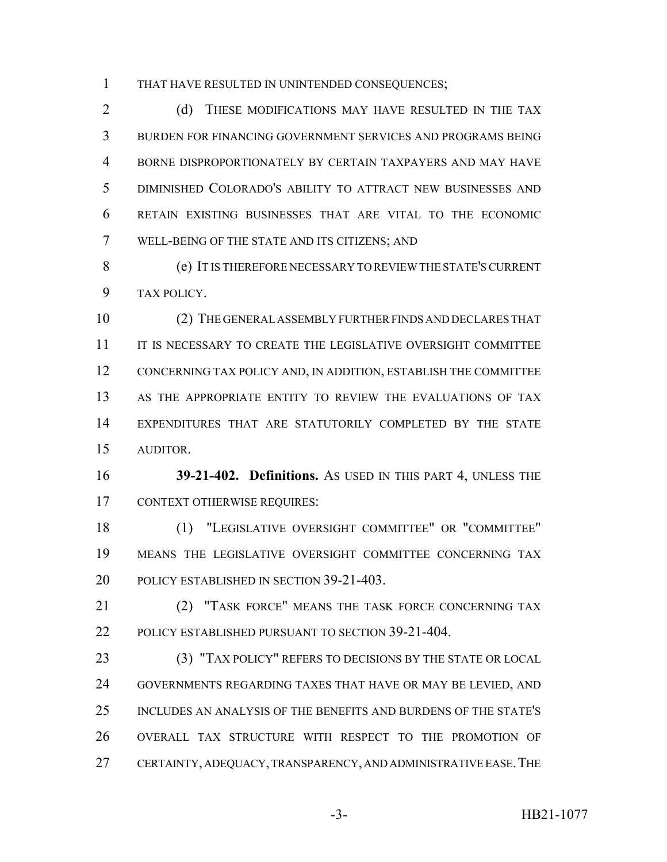THAT HAVE RESULTED IN UNINTENDED CONSEQUENCES;

2 (d) THESE MODIFICATIONS MAY HAVE RESULTED IN THE TAX BURDEN FOR FINANCING GOVERNMENT SERVICES AND PROGRAMS BEING BORNE DISPROPORTIONATELY BY CERTAIN TAXPAYERS AND MAY HAVE DIMINISHED COLORADO'S ABILITY TO ATTRACT NEW BUSINESSES AND RETAIN EXISTING BUSINESSES THAT ARE VITAL TO THE ECONOMIC WELL-BEING OF THE STATE AND ITS CITIZENS; AND

 (e) IT IS THEREFORE NECESSARY TO REVIEW THE STATE'S CURRENT TAX POLICY.

 (2) THE GENERAL ASSEMBLY FURTHER FINDS AND DECLARES THAT IT IS NECESSARY TO CREATE THE LEGISLATIVE OVERSIGHT COMMITTEE CONCERNING TAX POLICY AND, IN ADDITION, ESTABLISH THE COMMITTEE AS THE APPROPRIATE ENTITY TO REVIEW THE EVALUATIONS OF TAX EXPENDITURES THAT ARE STATUTORILY COMPLETED BY THE STATE AUDITOR.

 **39-21-402. Definitions.** AS USED IN THIS PART 4, UNLESS THE CONTEXT OTHERWISE REQUIRES:

 (1) "LEGISLATIVE OVERSIGHT COMMITTEE" OR "COMMITTEE" MEANS THE LEGISLATIVE OVERSIGHT COMMITTEE CONCERNING TAX 20 POLICY ESTABLISHED IN SECTION 39-21-403.

**(2) "TASK FORCE" MEANS THE TASK FORCE CONCERNING TAX** POLICY ESTABLISHED PURSUANT TO SECTION 39-21-404.

 (3) "TAX POLICY" REFERS TO DECISIONS BY THE STATE OR LOCAL GOVERNMENTS REGARDING TAXES THAT HAVE OR MAY BE LEVIED, AND INCLUDES AN ANALYSIS OF THE BENEFITS AND BURDENS OF THE STATE'S OVERALL TAX STRUCTURE WITH RESPECT TO THE PROMOTION OF CERTAINTY, ADEQUACY, TRANSPARENCY, AND ADMINISTRATIVE EASE.THE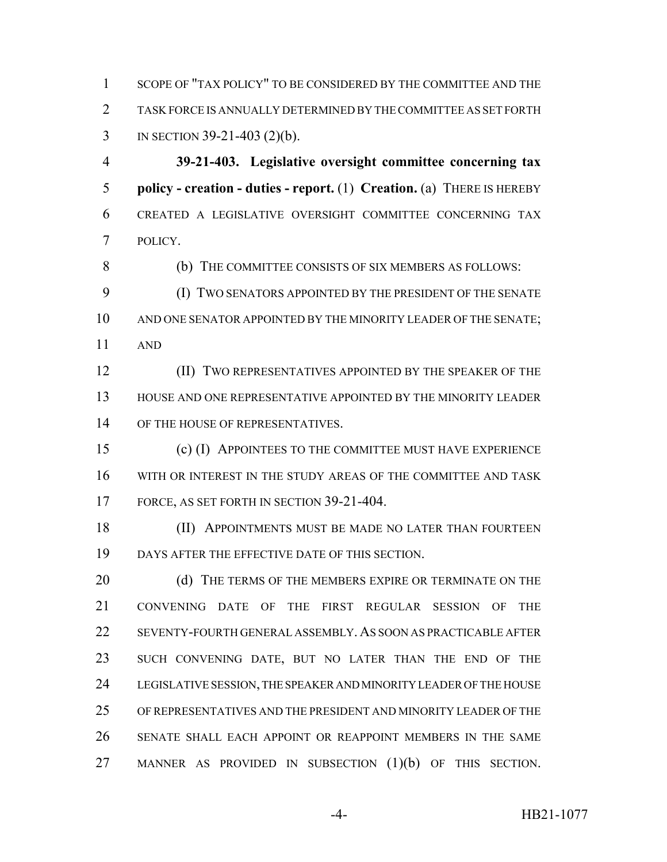SCOPE OF "TAX POLICY" TO BE CONSIDERED BY THE COMMITTEE AND THE TASK FORCE IS ANNUALLY DETERMINED BY THE COMMITTEE AS SET FORTH IN SECTION 39-21-403 (2)(b).

 **39-21-403. Legislative oversight committee concerning tax policy - creation - duties - report.** (1) **Creation.** (a) THERE IS HEREBY CREATED A LEGISLATIVE OVERSIGHT COMMITTEE CONCERNING TAX POLICY.

(b) THE COMMITTEE CONSISTS OF SIX MEMBERS AS FOLLOWS:

 (I) TWO SENATORS APPOINTED BY THE PRESIDENT OF THE SENATE AND ONE SENATOR APPOINTED BY THE MINORITY LEADER OF THE SENATE; AND

**(II) TWO REPRESENTATIVES APPOINTED BY THE SPEAKER OF THE**  HOUSE AND ONE REPRESENTATIVE APPOINTED BY THE MINORITY LEADER 14 OF THE HOUSE OF REPRESENTATIVES.

 (c) (I) APPOINTEES TO THE COMMITTEE MUST HAVE EXPERIENCE WITH OR INTEREST IN THE STUDY AREAS OF THE COMMITTEE AND TASK 17 FORCE, AS SET FORTH IN SECTION 39-21-404.

18 (II) APPOINTMENTS MUST BE MADE NO LATER THAN FOURTEEN DAYS AFTER THE EFFECTIVE DATE OF THIS SECTION.

20 (d) THE TERMS OF THE MEMBERS EXPIRE OR TERMINATE ON THE CONVENING DATE OF THE FIRST REGULAR SESSION OF THE SEVENTY-FOURTH GENERAL ASSEMBLY. AS SOON AS PRACTICABLE AFTER SUCH CONVENING DATE, BUT NO LATER THAN THE END OF THE LEGISLATIVE SESSION, THE SPEAKER AND MINORITY LEADER OF THE HOUSE OF REPRESENTATIVES AND THE PRESIDENT AND MINORITY LEADER OF THE SENATE SHALL EACH APPOINT OR REAPPOINT MEMBERS IN THE SAME 27 MANNER AS PROVIDED IN SUBSECTION (1)(b) OF THIS SECTION.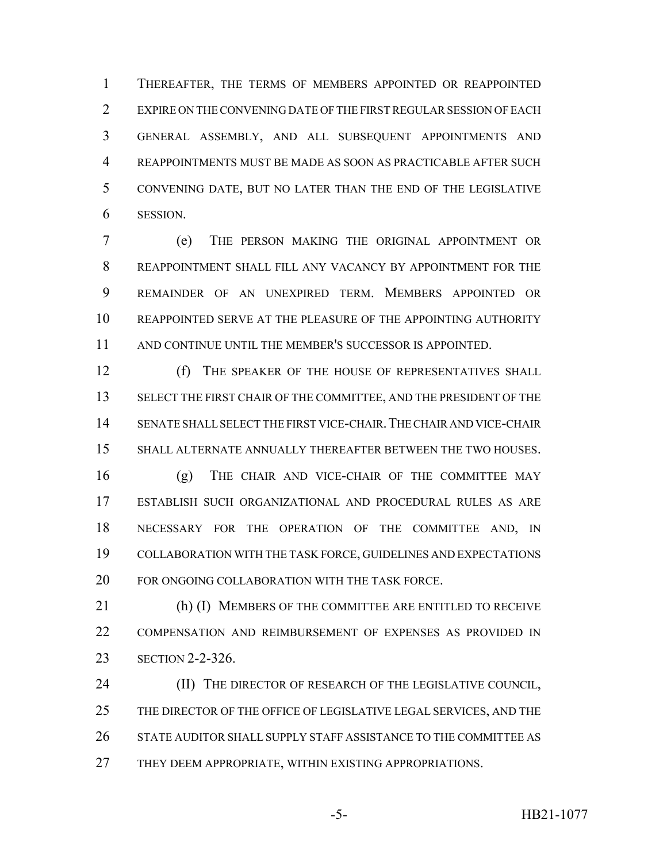THEREAFTER, THE TERMS OF MEMBERS APPOINTED OR REAPPOINTED EXPIRE ON THE CONVENING DATE OF THE FIRST REGULAR SESSION OF EACH GENERAL ASSEMBLY, AND ALL SUBSEQUENT APPOINTMENTS AND REAPPOINTMENTS MUST BE MADE AS SOON AS PRACTICABLE AFTER SUCH CONVENING DATE, BUT NO LATER THAN THE END OF THE LEGISLATIVE SESSION.

 (e) THE PERSON MAKING THE ORIGINAL APPOINTMENT OR REAPPOINTMENT SHALL FILL ANY VACANCY BY APPOINTMENT FOR THE REMAINDER OF AN UNEXPIRED TERM. MEMBERS APPOINTED OR REAPPOINTED SERVE AT THE PLEASURE OF THE APPOINTING AUTHORITY AND CONTINUE UNTIL THE MEMBER'S SUCCESSOR IS APPOINTED.

12 (f) THE SPEAKER OF THE HOUSE OF REPRESENTATIVES SHALL SELECT THE FIRST CHAIR OF THE COMMITTEE, AND THE PRESIDENT OF THE SENATE SHALL SELECT THE FIRST VICE-CHAIR.THE CHAIR AND VICE-CHAIR SHALL ALTERNATE ANNUALLY THEREAFTER BETWEEN THE TWO HOUSES.

 (g) THE CHAIR AND VICE-CHAIR OF THE COMMITTEE MAY ESTABLISH SUCH ORGANIZATIONAL AND PROCEDURAL RULES AS ARE NECESSARY FOR THE OPERATION OF THE COMMITTEE AND, IN COLLABORATION WITH THE TASK FORCE, GUIDELINES AND EXPECTATIONS FOR ONGOING COLLABORATION WITH THE TASK FORCE.

 (h) (I) MEMBERS OF THE COMMITTEE ARE ENTITLED TO RECEIVE COMPENSATION AND REIMBURSEMENT OF EXPENSES AS PROVIDED IN SECTION 2-2-326.

**(II) THE DIRECTOR OF RESEARCH OF THE LEGISLATIVE COUNCIL,** 25 THE DIRECTOR OF THE OFFICE OF LEGISLATIVE LEGAL SERVICES, AND THE STATE AUDITOR SHALL SUPPLY STAFF ASSISTANCE TO THE COMMITTEE AS THEY DEEM APPROPRIATE, WITHIN EXISTING APPROPRIATIONS.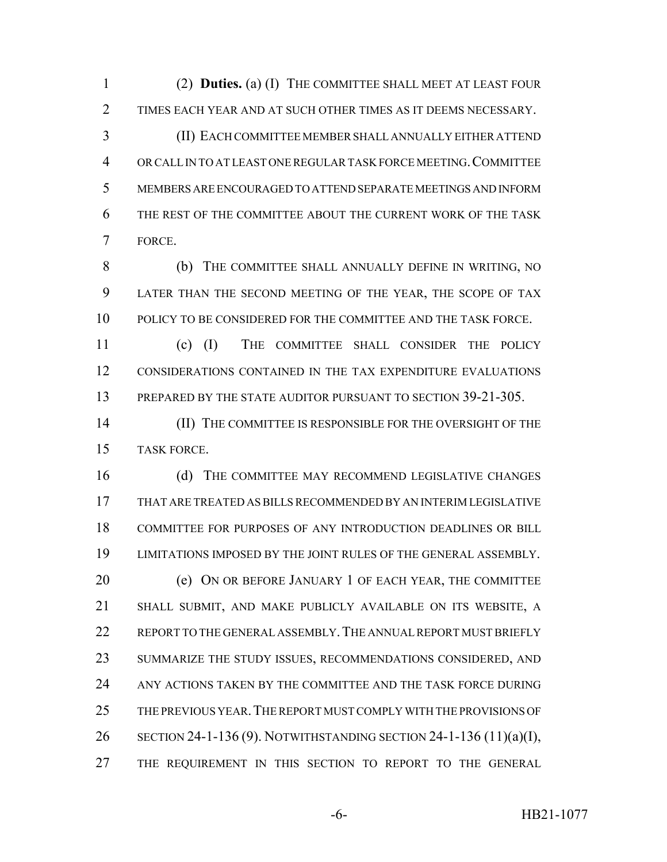(2) **Duties.** (a) (I) THE COMMITTEE SHALL MEET AT LEAST FOUR TIMES EACH YEAR AND AT SUCH OTHER TIMES AS IT DEEMS NECESSARY. (II) EACH COMMITTEE MEMBER SHALL ANNUALLY EITHER ATTEND OR CALL IN TO AT LEAST ONE REGULAR TASK FORCE MEETING.COMMITTEE MEMBERS ARE ENCOURAGED TO ATTEND SEPARATE MEETINGS AND INFORM THE REST OF THE COMMITTEE ABOUT THE CURRENT WORK OF THE TASK

FORCE.

 (b) THE COMMITTEE SHALL ANNUALLY DEFINE IN WRITING, NO LATER THAN THE SECOND MEETING OF THE YEAR, THE SCOPE OF TAX POLICY TO BE CONSIDERED FOR THE COMMITTEE AND THE TASK FORCE.

 (c) (I) THE COMMITTEE SHALL CONSIDER THE POLICY CONSIDERATIONS CONTAINED IN THE TAX EXPENDITURE EVALUATIONS 13 PREPARED BY THE STATE AUDITOR PURSUANT TO SECTION 39-21-305.

**III) THE COMMITTEE IS RESPONSIBLE FOR THE OVERSIGHT OF THE** TASK FORCE.

 (d) THE COMMITTEE MAY RECOMMEND LEGISLATIVE CHANGES THAT ARE TREATED AS BILLS RECOMMENDED BY AN INTERIM LEGISLATIVE COMMITTEE FOR PURPOSES OF ANY INTRODUCTION DEADLINES OR BILL LIMITATIONS IMPOSED BY THE JOINT RULES OF THE GENERAL ASSEMBLY. (e) ON OR BEFORE JANUARY 1 OF EACH YEAR, THE COMMITTEE SHALL SUBMIT, AND MAKE PUBLICLY AVAILABLE ON ITS WEBSITE, A 22 REPORT TO THE GENERAL ASSEMBLY. THE ANNUAL REPORT MUST BRIEFLY SUMMARIZE THE STUDY ISSUES, RECOMMENDATIONS CONSIDERED, AND ANY ACTIONS TAKEN BY THE COMMITTEE AND THE TASK FORCE DURING THE PREVIOUS YEAR.THE REPORT MUST COMPLY WITH THE PROVISIONS OF SECTION 24-1-136 (9). NOTWITHSTANDING SECTION 24-1-136 (11)(a)(I), THE REQUIREMENT IN THIS SECTION TO REPORT TO THE GENERAL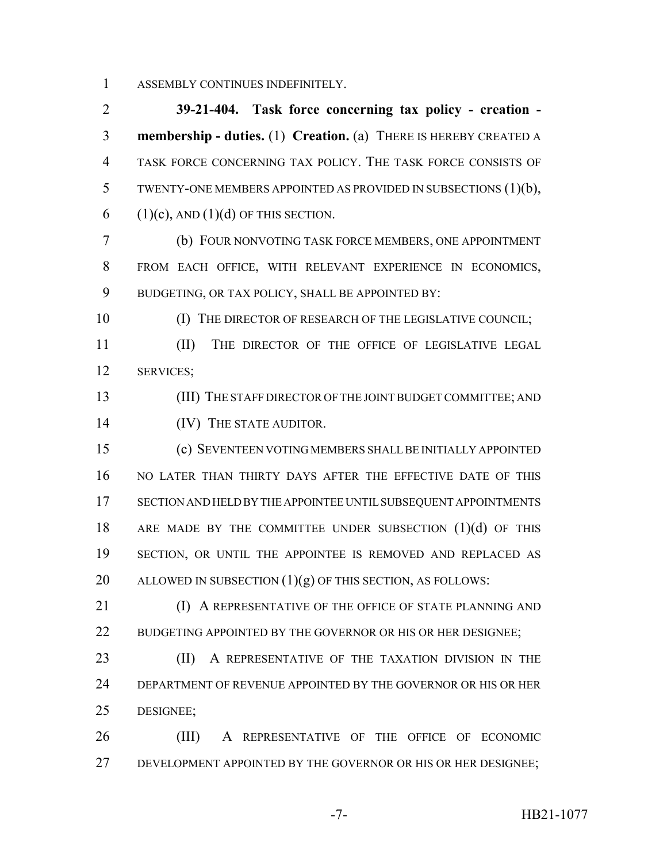ASSEMBLY CONTINUES INDEFINITELY.

 **39-21-404. Task force concerning tax policy - creation - membership - duties.** (1) **Creation.** (a) THERE IS HEREBY CREATED A TASK FORCE CONCERNING TAX POLICY. THE TASK FORCE CONSISTS OF TWENTY-ONE MEMBERS APPOINTED AS PROVIDED IN SUBSECTIONS (1)(b), 6 (1)(c), AND (1)(d) OF THIS SECTION.

 (b) FOUR NONVOTING TASK FORCE MEMBERS, ONE APPOINTMENT FROM EACH OFFICE, WITH RELEVANT EXPERIENCE IN ECONOMICS, 9 BUDGETING, OR TAX POLICY, SHALL BE APPOINTED BY:

10 (I) THE DIRECTOR OF RESEARCH OF THE LEGISLATIVE COUNCIL; (II) THE DIRECTOR OF THE OFFICE OF LEGISLATIVE LEGAL

SERVICES;

 (III) THE STAFF DIRECTOR OF THE JOINT BUDGET COMMITTEE; AND 14 (IV) THE STATE AUDITOR.

 (c) SEVENTEEN VOTING MEMBERS SHALL BE INITIALLY APPOINTED NO LATER THAN THIRTY DAYS AFTER THE EFFECTIVE DATE OF THIS SECTION AND HELD BY THE APPOINTEE UNTIL SUBSEQUENT APPOINTMENTS 18 ARE MADE BY THE COMMITTEE UNDER SUBSECTION (1)(d) OF THIS 19 SECTION, OR UNTIL THE APPOINTEE IS REMOVED AND REPLACED AS 20 ALLOWED IN SUBSECTION  $(1)(g)$  OF THIS SECTION, AS FOLLOWS:

21 (I) A REPRESENTATIVE OF THE OFFICE OF STATE PLANNING AND 22 BUDGETING APPOINTED BY THE GOVERNOR OR HIS OR HER DESIGNEE;

23 (II) A REPRESENTATIVE OF THE TAXATION DIVISION IN THE DEPARTMENT OF REVENUE APPOINTED BY THE GOVERNOR OR HIS OR HER DESIGNEE;

 (III) A REPRESENTATIVE OF THE OFFICE OF ECONOMIC DEVELOPMENT APPOINTED BY THE GOVERNOR OR HIS OR HER DESIGNEE;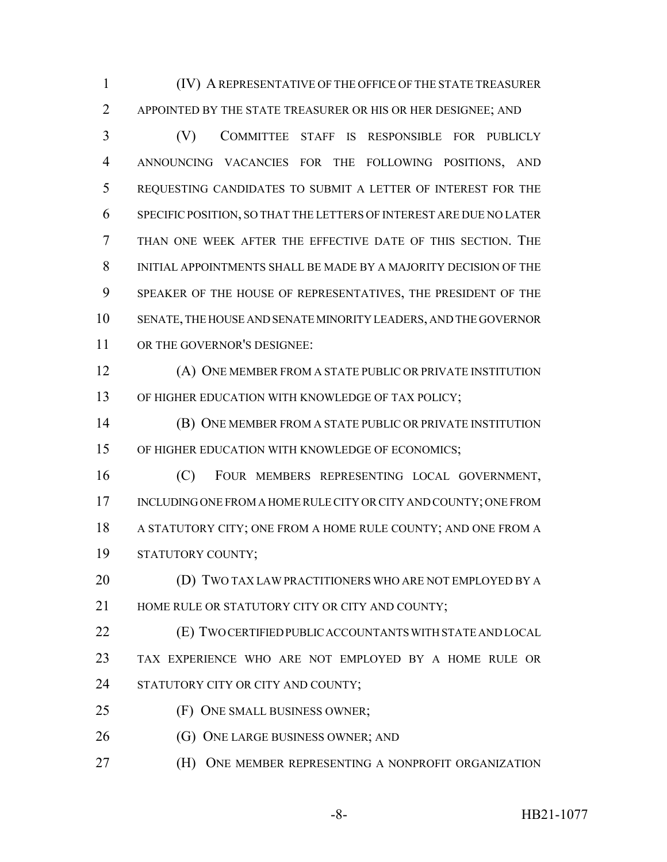(IV) A REPRESENTATIVE OF THE OFFICE OF THE STATE TREASURER APPOINTED BY THE STATE TREASURER OR HIS OR HER DESIGNEE; AND

 (V) COMMITTEE STAFF IS RESPONSIBLE FOR PUBLICLY ANNOUNCING VACANCIES FOR THE FOLLOWING POSITIONS, AND REQUESTING CANDIDATES TO SUBMIT A LETTER OF INTEREST FOR THE SPECIFIC POSITION, SO THAT THE LETTERS OF INTEREST ARE DUE NO LATER THAN ONE WEEK AFTER THE EFFECTIVE DATE OF THIS SECTION. THE INITIAL APPOINTMENTS SHALL BE MADE BY A MAJORITY DECISION OF THE SPEAKER OF THE HOUSE OF REPRESENTATIVES, THE PRESIDENT OF THE SENATE, THE HOUSE AND SENATE MINORITY LEADERS, AND THE GOVERNOR OR THE GOVERNOR'S DESIGNEE:

 (A) ONE MEMBER FROM A STATE PUBLIC OR PRIVATE INSTITUTION 13 OF HIGHER EDUCATION WITH KNOWLEDGE OF TAX POLICY;

 (B) ONE MEMBER FROM A STATE PUBLIC OR PRIVATE INSTITUTION OF HIGHER EDUCATION WITH KNOWLEDGE OF ECONOMICS;

 (C) FOUR MEMBERS REPRESENTING LOCAL GOVERNMENT, INCLUDING ONE FROM A HOME RULE CITY OR CITY AND COUNTY; ONE FROM A STATUTORY CITY; ONE FROM A HOME RULE COUNTY; AND ONE FROM A STATUTORY COUNTY;

 (D) TWO TAX LAW PRACTITIONERS WHO ARE NOT EMPLOYED BY A 21 HOME RULE OR STATUTORY CITY OR CITY AND COUNTY:

 (E) TWO CERTIFIED PUBLIC ACCOUNTANTS WITH STATE AND LOCAL TAX EXPERIENCE WHO ARE NOT EMPLOYED BY A HOME RULE OR 24 STATUTORY CITY OR CITY AND COUNTY;

- (F) ONE SMALL BUSINESS OWNER;
- 26 (G) ONE LARGE BUSINESS OWNER; AND
- **(H) ONE MEMBER REPRESENTING A NONPROFIT ORGANIZATION**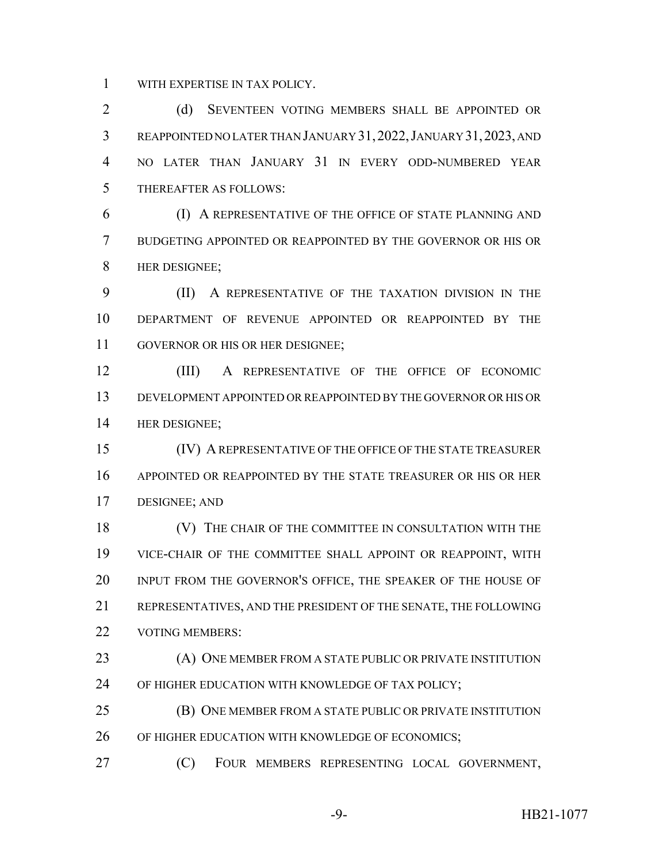WITH EXPERTISE IN TAX POLICY.

 (d) SEVENTEEN VOTING MEMBERS SHALL BE APPOINTED OR REAPPOINTED NO LATER THAN JANUARY 31,2022,JANUARY 31,2023, AND NO LATER THAN JANUARY 31 IN EVERY ODD-NUMBERED YEAR THEREAFTER AS FOLLOWS:

 (I) A REPRESENTATIVE OF THE OFFICE OF STATE PLANNING AND BUDGETING APPOINTED OR REAPPOINTED BY THE GOVERNOR OR HIS OR HER DESIGNEE;

 (II) A REPRESENTATIVE OF THE TAXATION DIVISION IN THE DEPARTMENT OF REVENUE APPOINTED OR REAPPOINTED BY THE GOVERNOR OR HIS OR HER DESIGNEE;

 (III) A REPRESENTATIVE OF THE OFFICE OF ECONOMIC DEVELOPMENT APPOINTED OR REAPPOINTED BY THE GOVERNOR OR HIS OR HER DESIGNEE;

 (IV) A REPRESENTATIVE OF THE OFFICE OF THE STATE TREASURER APPOINTED OR REAPPOINTED BY THE STATE TREASURER OR HIS OR HER DESIGNEE; AND

**(V)** THE CHAIR OF THE COMMITTEE IN CONSULTATION WITH THE VICE-CHAIR OF THE COMMITTEE SHALL APPOINT OR REAPPOINT, WITH INPUT FROM THE GOVERNOR'S OFFICE, THE SPEAKER OF THE HOUSE OF REPRESENTATIVES, AND THE PRESIDENT OF THE SENATE, THE FOLLOWING 22 VOTING MEMBERS:

23 (A) ONE MEMBER FROM A STATE PUBLIC OR PRIVATE INSTITUTION 24 OF HIGHER EDUCATION WITH KNOWLEDGE OF TAX POLICY;

**(B) ONE MEMBER FROM A STATE PUBLIC OR PRIVATE INSTITUTION** OF HIGHER EDUCATION WITH KNOWLEDGE OF ECONOMICS;

(C) FOUR MEMBERS REPRESENTING LOCAL GOVERNMENT,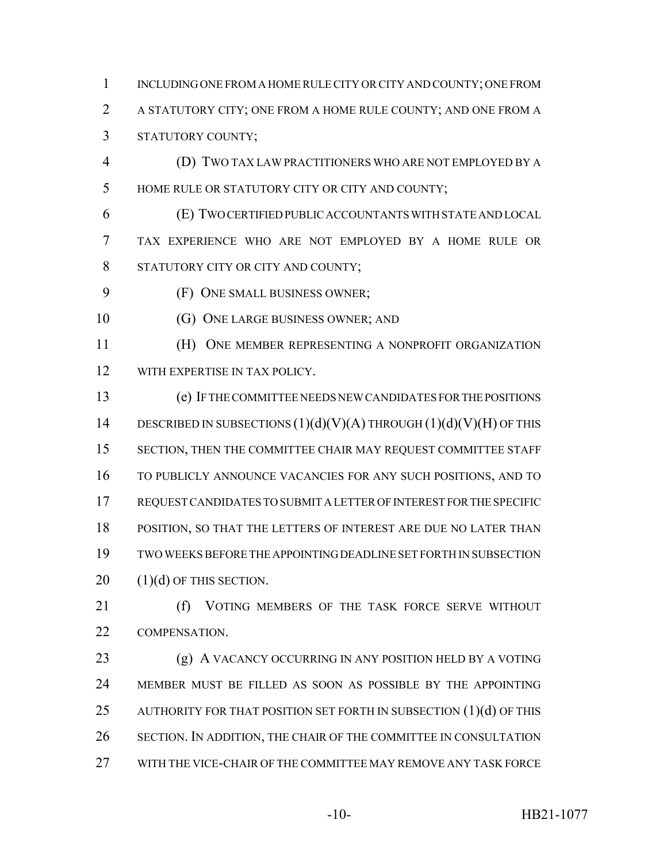INCLUDING ONE FROM A HOME RULE CITY OR CITY AND COUNTY; ONE FROM A STATUTORY CITY; ONE FROM A HOME RULE COUNTY; AND ONE FROM A STATUTORY COUNTY;

- (D) TWO TAX LAW PRACTITIONERS WHO ARE NOT EMPLOYED BY A HOME RULE OR STATUTORY CITY OR CITY AND COUNTY;
- (E) TWO CERTIFIED PUBLIC ACCOUNTANTS WITH STATE AND LOCAL TAX EXPERIENCE WHO ARE NOT EMPLOYED BY A HOME RULE OR 8 STATUTORY CITY OR CITY AND COUNTY;
- (F) ONE SMALL BUSINESS OWNER;
- 10 (G) ONE LARGE BUSINESS OWNER; AND
- (H) ONE MEMBER REPRESENTING A NONPROFIT ORGANIZATION 12 WITH EXPERTISE IN TAX POLICY.
- (e) IF THE COMMITTEE NEEDS NEW CANDIDATES FOR THE POSITIONS 14 DESCRIBED IN SUBSECTIONS  $(1)(d)(V)(A)$  THROUGH  $(1)(d)(V)(H)$  OF THIS SECTION, THEN THE COMMITTEE CHAIR MAY REQUEST COMMITTEE STAFF TO PUBLICLY ANNOUNCE VACANCIES FOR ANY SUCH POSITIONS, AND TO REQUEST CANDIDATES TO SUBMIT A LETTER OF INTEREST FOR THE SPECIFIC POSITION, SO THAT THE LETTERS OF INTEREST ARE DUE NO LATER THAN TWO WEEKS BEFORE THE APPOINTING DEADLINE SET FORTH IN SUBSECTION  $20 \qquad (1)(d)$  OF THIS SECTION.
- 21 (f) VOTING MEMBERS OF THE TASK FORCE SERVE WITHOUT COMPENSATION.
- 23 (g) A VACANCY OCCURRING IN ANY POSITION HELD BY A VOTING MEMBER MUST BE FILLED AS SOON AS POSSIBLE BY THE APPOINTING 25 AUTHORITY FOR THAT POSITION SET FORTH IN SUBSECTION (1)(d) OF THIS SECTION. IN ADDITION, THE CHAIR OF THE COMMITTEE IN CONSULTATION WITH THE VICE-CHAIR OF THE COMMITTEE MAY REMOVE ANY TASK FORCE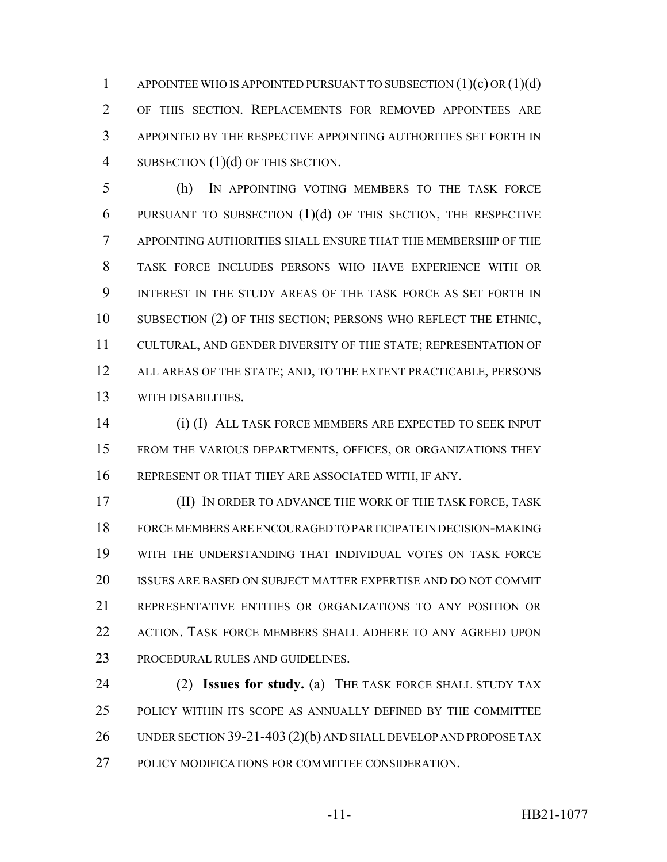1 APPOINTEE WHO IS APPOINTED PURSUANT TO SUBSECTION  $(1)(c)$  OR  $(1)(d)$  OF THIS SECTION. REPLACEMENTS FOR REMOVED APPOINTEES ARE APPOINTED BY THE RESPECTIVE APPOINTING AUTHORITIES SET FORTH IN 4 SUBSECTION (1)(d) OF THIS SECTION.

 (h) IN APPOINTING VOTING MEMBERS TO THE TASK FORCE 6 PURSUANT TO SUBSECTION  $(1)(d)$  of this section, the respective APPOINTING AUTHORITIES SHALL ENSURE THAT THE MEMBERSHIP OF THE TASK FORCE INCLUDES PERSONS WHO HAVE EXPERIENCE WITH OR INTEREST IN THE STUDY AREAS OF THE TASK FORCE AS SET FORTH IN 10 SUBSECTION (2) OF THIS SECTION; PERSONS WHO REFLECT THE ETHNIC, CULTURAL, AND GENDER DIVERSITY OF THE STATE; REPRESENTATION OF 12 ALL AREAS OF THE STATE; AND, TO THE EXTENT PRACTICABLE, PERSONS WITH DISABILITIES.

 (i) (I) ALL TASK FORCE MEMBERS ARE EXPECTED TO SEEK INPUT FROM THE VARIOUS DEPARTMENTS, OFFICES, OR ORGANIZATIONS THEY REPRESENT OR THAT THEY ARE ASSOCIATED WITH, IF ANY.

 (II) IN ORDER TO ADVANCE THE WORK OF THE TASK FORCE, TASK FORCE MEMBERS ARE ENCOURAGED TO PARTICIPATE IN DECISION-MAKING WITH THE UNDERSTANDING THAT INDIVIDUAL VOTES ON TASK FORCE ISSUES ARE BASED ON SUBJECT MATTER EXPERTISE AND DO NOT COMMIT REPRESENTATIVE ENTITIES OR ORGANIZATIONS TO ANY POSITION OR 22 ACTION. TASK FORCE MEMBERS SHALL ADHERE TO ANY AGREED UPON PROCEDURAL RULES AND GUIDELINES.

 (2) **Issues for study.** (a) THE TASK FORCE SHALL STUDY TAX POLICY WITHIN ITS SCOPE AS ANNUALLY DEFINED BY THE COMMITTEE 26 UNDER SECTION 39-21-403 (2)(b) AND SHALL DEVELOP AND PROPOSE TAX POLICY MODIFICATIONS FOR COMMITTEE CONSIDERATION.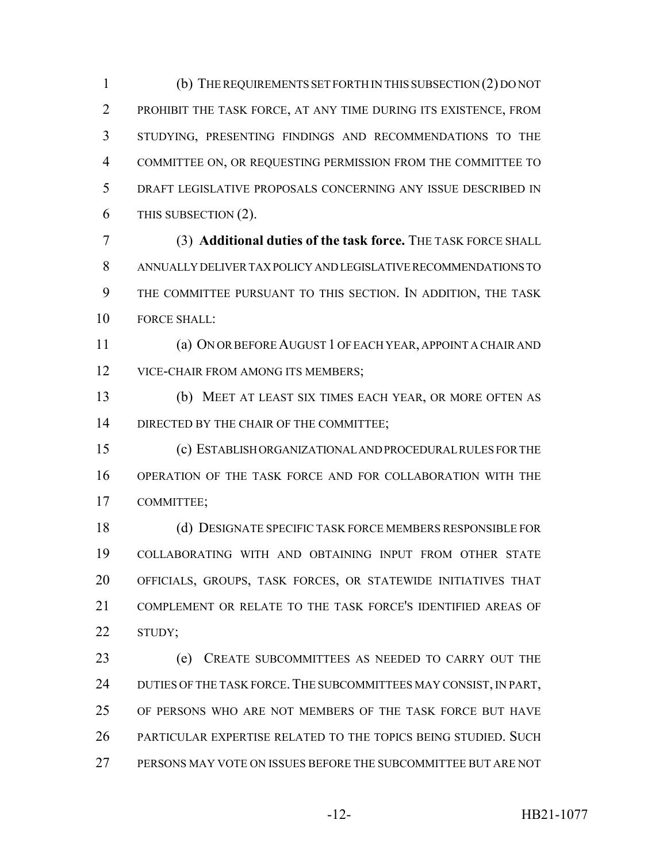(b) THE REQUIREMENTS SET FORTH IN THIS SUBSECTION (2) DO NOT PROHIBIT THE TASK FORCE, AT ANY TIME DURING ITS EXISTENCE, FROM STUDYING, PRESENTING FINDINGS AND RECOMMENDATIONS TO THE COMMITTEE ON, OR REQUESTING PERMISSION FROM THE COMMITTEE TO DRAFT LEGISLATIVE PROPOSALS CONCERNING ANY ISSUE DESCRIBED IN THIS SUBSECTION (2).

 (3) **Additional duties of the task force.** THE TASK FORCE SHALL ANNUALLY DELIVER TAX POLICY AND LEGISLATIVE RECOMMENDATIONS TO THE COMMITTEE PURSUANT TO THIS SECTION. IN ADDITION, THE TASK FORCE SHALL:

 (a) ON OR BEFORE AUGUST 1 OF EACH YEAR, APPOINT A CHAIR AND 12 VICE-CHAIR FROM AMONG ITS MEMBERS;

 (b) MEET AT LEAST SIX TIMES EACH YEAR, OR MORE OFTEN AS 14 DIRECTED BY THE CHAIR OF THE COMMITTEE;

 (c) ESTABLISH ORGANIZATIONAL AND PROCEDURAL RULES FOR THE OPERATION OF THE TASK FORCE AND FOR COLLABORATION WITH THE COMMITTEE;

 (d) DESIGNATE SPECIFIC TASK FORCE MEMBERS RESPONSIBLE FOR COLLABORATING WITH AND OBTAINING INPUT FROM OTHER STATE OFFICIALS, GROUPS, TASK FORCES, OR STATEWIDE INITIATIVES THAT COMPLEMENT OR RELATE TO THE TASK FORCE'S IDENTIFIED AREAS OF STUDY;

 (e) CREATE SUBCOMMITTEES AS NEEDED TO CARRY OUT THE 24 DUTIES OF THE TASK FORCE. THE SUBCOMMITTEES MAY CONSIST, IN PART, OF PERSONS WHO ARE NOT MEMBERS OF THE TASK FORCE BUT HAVE PARTICULAR EXPERTISE RELATED TO THE TOPICS BEING STUDIED. SUCH PERSONS MAY VOTE ON ISSUES BEFORE THE SUBCOMMITTEE BUT ARE NOT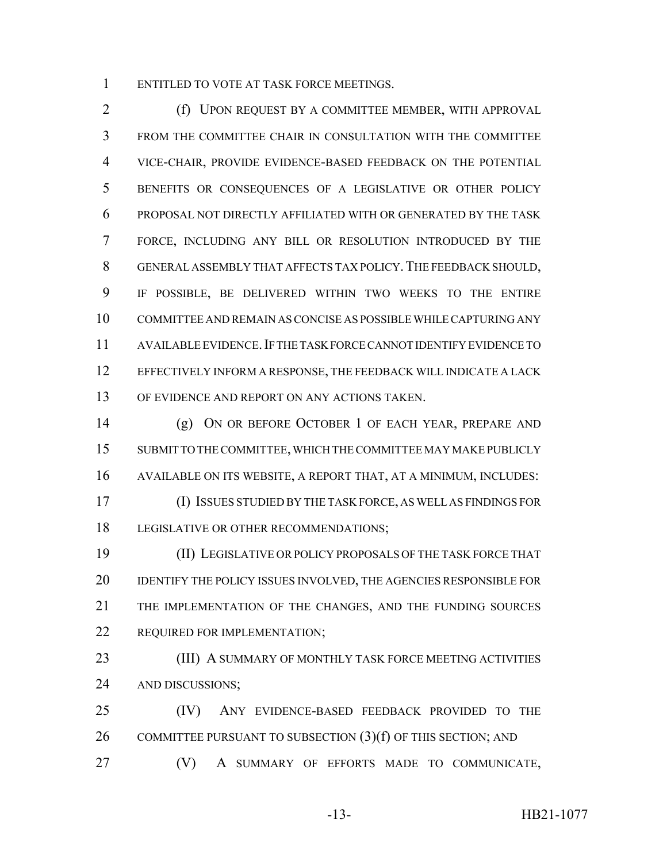ENTITLED TO VOTE AT TASK FORCE MEETINGS.

**(f) UPON REQUEST BY A COMMITTEE MEMBER, WITH APPROVAL**  FROM THE COMMITTEE CHAIR IN CONSULTATION WITH THE COMMITTEE VICE-CHAIR, PROVIDE EVIDENCE-BASED FEEDBACK ON THE POTENTIAL BENEFITS OR CONSEQUENCES OF A LEGISLATIVE OR OTHER POLICY PROPOSAL NOT DIRECTLY AFFILIATED WITH OR GENERATED BY THE TASK FORCE, INCLUDING ANY BILL OR RESOLUTION INTRODUCED BY THE GENERAL ASSEMBLY THAT AFFECTS TAX POLICY.THE FEEDBACK SHOULD, IF POSSIBLE, BE DELIVERED WITHIN TWO WEEKS TO THE ENTIRE COMMITTEE AND REMAIN AS CONCISE AS POSSIBLE WHILE CAPTURING ANY AVAILABLE EVIDENCE.IF THE TASK FORCE CANNOT IDENTIFY EVIDENCE TO EFFECTIVELY INFORM A RESPONSE, THE FEEDBACK WILL INDICATE A LACK OF EVIDENCE AND REPORT ON ANY ACTIONS TAKEN.

 (g) ON OR BEFORE OCTOBER 1 OF EACH YEAR, PREPARE AND SUBMIT TO THE COMMITTEE, WHICH THE COMMITTEE MAY MAKE PUBLICLY AVAILABLE ON ITS WEBSITE, A REPORT THAT, AT A MINIMUM, INCLUDES: (I) ISSUES STUDIED BY THE TASK FORCE, AS WELL AS FINDINGS FOR LEGISLATIVE OR OTHER RECOMMENDATIONS;

 (II) LEGISLATIVE OR POLICY PROPOSALS OF THE TASK FORCE THAT IDENTIFY THE POLICY ISSUES INVOLVED, THE AGENCIES RESPONSIBLE FOR THE IMPLEMENTATION OF THE CHANGES, AND THE FUNDING SOURCES REQUIRED FOR IMPLEMENTATION;

**(III) A SUMMARY OF MONTHLY TASK FORCE MEETING ACTIVITIES** AND DISCUSSIONS;

 (IV) ANY EVIDENCE-BASED FEEDBACK PROVIDED TO THE 26 COMMITTEE PURSUANT TO SUBSECTION  $(3)(f)$  of this section; and

(V) A SUMMARY OF EFFORTS MADE TO COMMUNICATE,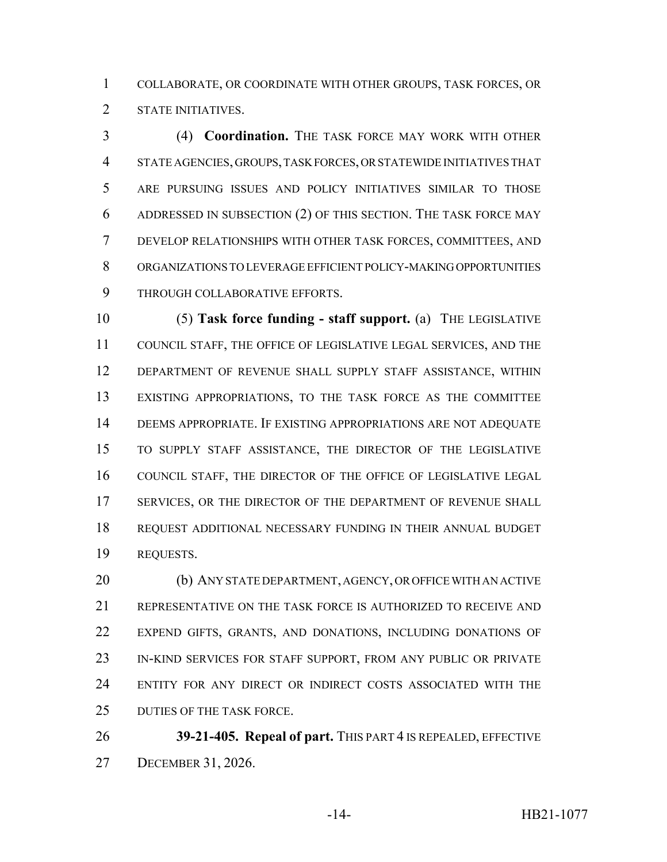COLLABORATE, OR COORDINATE WITH OTHER GROUPS, TASK FORCES, OR STATE INITIATIVES.

 (4) **Coordination.** THE TASK FORCE MAY WORK WITH OTHER STATE AGENCIES, GROUPS, TASK FORCES, OR STATEWIDE INITIATIVES THAT ARE PURSUING ISSUES AND POLICY INITIATIVES SIMILAR TO THOSE ADDRESSED IN SUBSECTION (2) OF THIS SECTION. THE TASK FORCE MAY DEVELOP RELATIONSHIPS WITH OTHER TASK FORCES, COMMITTEES, AND ORGANIZATIONS TO LEVERAGE EFFICIENT POLICY-MAKING OPPORTUNITIES THROUGH COLLABORATIVE EFFORTS.

 (5) **Task force funding - staff support.** (a) THE LEGISLATIVE COUNCIL STAFF, THE OFFICE OF LEGISLATIVE LEGAL SERVICES, AND THE DEPARTMENT OF REVENUE SHALL SUPPLY STAFF ASSISTANCE, WITHIN EXISTING APPROPRIATIONS, TO THE TASK FORCE AS THE COMMITTEE DEEMS APPROPRIATE. IF EXISTING APPROPRIATIONS ARE NOT ADEQUATE TO SUPPLY STAFF ASSISTANCE, THE DIRECTOR OF THE LEGISLATIVE COUNCIL STAFF, THE DIRECTOR OF THE OFFICE OF LEGISLATIVE LEGAL SERVICES, OR THE DIRECTOR OF THE DEPARTMENT OF REVENUE SHALL REQUEST ADDITIONAL NECESSARY FUNDING IN THEIR ANNUAL BUDGET REQUESTS.

 (b) ANY STATE DEPARTMENT, AGENCY, OR OFFICE WITH AN ACTIVE REPRESENTATIVE ON THE TASK FORCE IS AUTHORIZED TO RECEIVE AND EXPEND GIFTS, GRANTS, AND DONATIONS, INCLUDING DONATIONS OF IN-KIND SERVICES FOR STAFF SUPPORT, FROM ANY PUBLIC OR PRIVATE ENTITY FOR ANY DIRECT OR INDIRECT COSTS ASSOCIATED WITH THE DUTIES OF THE TASK FORCE.

 **39-21-405. Repeal of part.** THIS PART 4 IS REPEALED, EFFECTIVE DECEMBER 31, 2026.